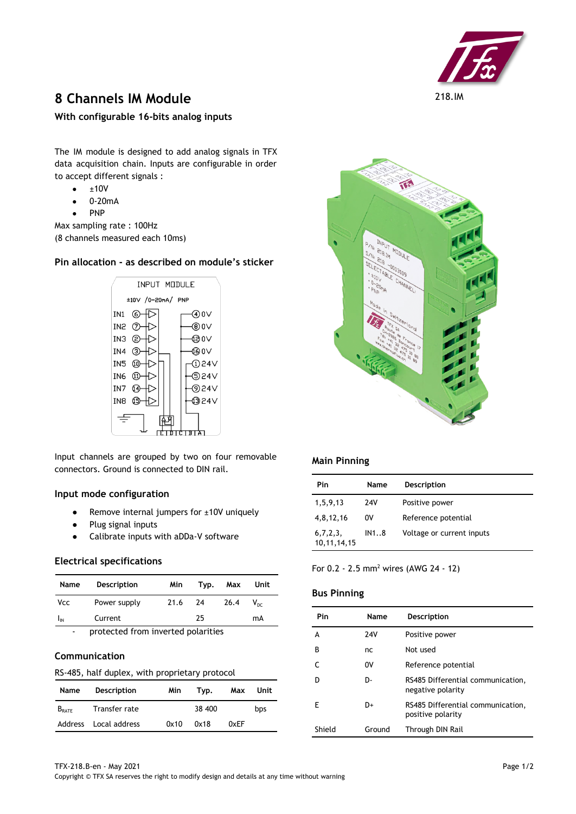

# **8 Channels IM Module** 218.IM

**With configurable 16-bits analog inputs**

The IM module is designed to add analog signals in TFX data acquisition chain. Inputs are configurable in order to accept different signals :

- $\bullet$   $\pm$ 10V
- 0-20mA
- **PNP**

Max sampling rate : 100Hz (8 channels measured each 10ms)

# **Pin allocation - as described on module's sticker**



Input channels are grouped by two on four removable connectors. Ground is connected to DIN rail.

## **Input mode configuration**

- Remove internal jumpers for ±10V uniquely
- Plug signal inputs
- Calibrate inputs with aDDa-V software

## **Electrical specifications**

| Name           | <b>Description</b> | Min                                | Typ. | Max  | Unit            |  |
|----------------|--------------------|------------------------------------|------|------|-----------------|--|
| <b>Vcc</b>     | Power supply       | 21.6                               | 24   | 26.4 | $V_{\text{nc}}$ |  |
| $I_{IN}$       | Current            |                                    | 25   |      | mA              |  |
| $\overline{a}$ |                    | protected from inverted polarities |      |      |                 |  |

# **Communication**

#### RS-485, half duplex, with proprietary protocol

| Name              | Description   | Min  | Tvp.   | Max  | Unit |
|-------------------|---------------|------|--------|------|------|
| $B_{\text{RATE}}$ | Transfer rate |      | 38 400 |      | bps  |
| Address           | Local address | 0x10 | 0x18   | 0xEF |      |



# **Main Pinning**

| Pin                        | Name       | <b>Description</b>        |
|----------------------------|------------|---------------------------|
| 1,5,9,13                   | <b>24V</b> | Positive power            |
| 4,8,12,16                  | 0V         | Reference potential       |
| 6,7,2,3,<br>10, 11, 14, 15 | IN18       | Voltage or current inputs |

For 0.2 - 2.5 mm<sup>2</sup> wires (AWG 24 - 12)

# **Bus Pinning**

| Pin    | Name   | Description                                            |
|--------|--------|--------------------------------------------------------|
| А      | 24V    | Positive power                                         |
| B      | nc     | Not used                                               |
|        | 0V     | Reference potential                                    |
|        | D-     | RS485 Differential communication,<br>negative polarity |
| F      | D+     | RS485 Differential communication,<br>positive polarity |
| Shield | Ground | Through DIN Rail                                       |